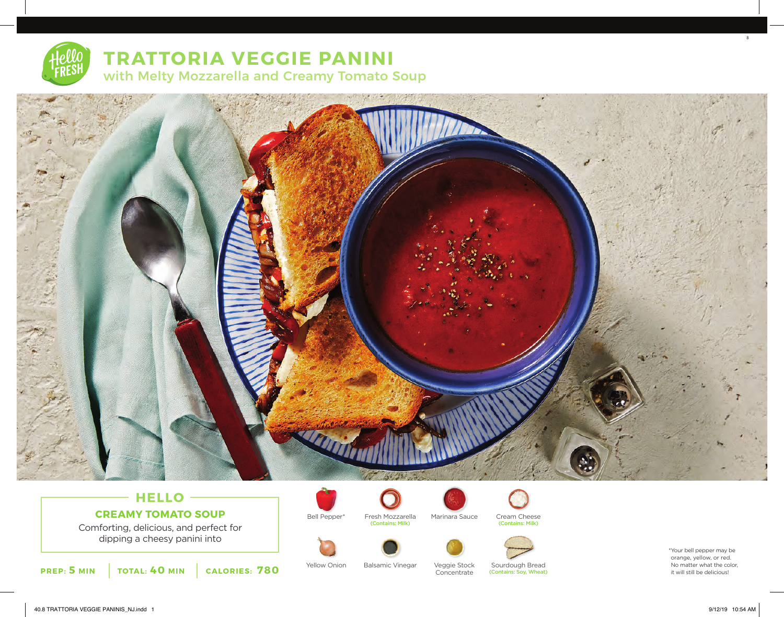## **TRATTORIA VEGGIE PANINI** with Melty Mozzarella and Creamy Tomato Soup



### **HELLO CREAMY TOMATO SOUP**

Comforting, delicious, and perfect for dipping a cheesy panini into



Veggie Stock

Bell Pepper\* Fresh Mozzarella Marinara Sauce Cream Cheese

(Contains: Milk)

**Concentrate** 

Yellow Onion Balsamic Vinegar Veggie Stock Sourdough Bread (Contains: Soy, Wheat)

(Contains: Milk)

\*Your bell pepper may be orange, yellow, or red. No matter what the color, it will still be delicious!

8